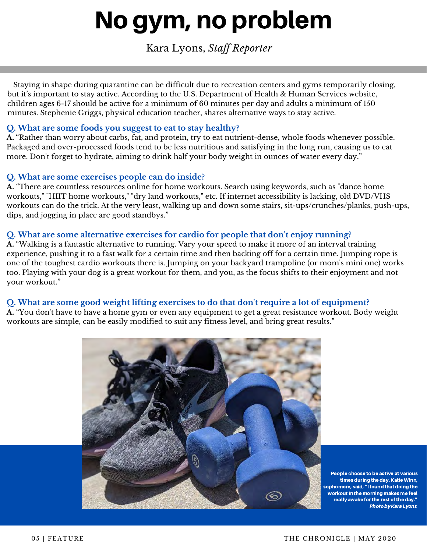# No gym, no problem

Kara Lyons, *Staff Reporter*

 Staying in shape during quarantine can be difficult due to recreation centers and gyms temporarily closing, but it's important to stay active. According to the U.S. Department of Health & Human Services website, children ages 6-17 should be active for a minimum of 60 minutes per day and adults a minimum of 150 minutes. Stephenie Griggs, physical education teacher, shares alternative ways to stay active.

#### **Q. What are some foods you suggest to eat to stay healthy?**

**A.** "Rather than worry about carbs, fat, and protein, try to eat nutrient-dense, whole foods whenever possible. Packaged and over-processed foods tend to be less nutritious and satisfying in the long run, causing us to eat more. Don't forget to hydrate, aiming to drink half your body weight in ounces of water every day."

#### **Q. What are some exercises people can do inside?**

**A.** "There are countless resources online for home workouts. Search using keywords, such as "dance home workouts," "HIIT home workouts," "dry land workouts," etc. If internet accessibility is lacking, old DVD/VHS workouts can do the trick. At the very least, walking up and down some stairs, sit-ups/crunches/planks, push-ups, dips, and jogging in place are good standbys."

## **Q. What are some alternative exercises for cardio for people that don't enjoy running?**

**A.** "Walking is a fantastic alternative to running. Vary your speed to make it more of an interval training experience, pushing it to a fast walk for a certain time and then backing off for a certain time. Jumping rope is one of the toughest cardio workouts there is. Jumping on your backyard trampoline (or mom's mini one) works too. Playing with your dog is a great workout for them, and you, as the focus shifts to their enjoyment and not your workout."

#### **Q. What are some good weight lifting exercises to do that don't require a lot of equipment?**

**A.** "You don't have to have a home gym or even any equipment to get a great resistance workout. Body weight workouts are simple, can be easily modified to suit any fitness level, and bring great results."



People choose to be active at various times during the day. Katie Winn, sophomore, said, "I found that doing the workout in the morning makes me feel really awake for the rest of the day." PhotobyKaraLyons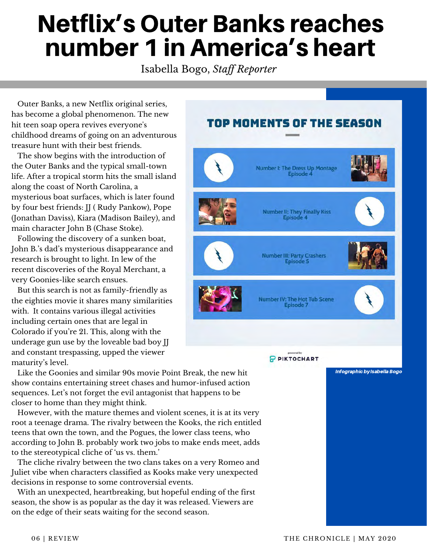# Netflix's Outer Banks reaches number 1 in America's heart

Isabella Bogo, *Staff Reporter*

 Outer Banks, a new Netflix original series, has become a global phenomenon. The new hit teen soap opera revives everyone's childhood dreams of going on an adventurous treasure hunt with their best friends.

 The show begins with the introduction of the Outer Banks and the typical small-town life. After a tropical storm hits the small island along the coast of North Carolina, a mysterious boat surfaces, which is later found by four best friends: JJ ( Rudy Pankow), Pope (Jonathan Daviss), Kiara (Madison Bailey), and main character John B (Chase Stoke).

 Following the discovery of a sunken boat, John B.'s dad's mysterious disappearance and research is brought to light. In lew of the recent discoveries of the Royal Merchant, a very Goonies-like search ensues.

 But this search is not as family-friendly as the eighties movie it shares many similarities with. It contains various illegal activities including certain ones that are legal in Colorado if you're 21. This, along with the underage gun use by the loveable bad boy JJ and constant trespassing, upped the viewer maturity's level.

show contains entertaining street chases and humor-infused action sequences. Let's not forget the evil antagonist that happens to be closer to home than they might think.

 However, with the mature themes and violent scenes, it is at its very root a teenage drama. The rivalry between the Kooks, the rich entitled teens that own the town, and the Pogues, the lower class teens, who according to John B. probably work two jobs to make ends meet, adds to the stereotypical cliche of 'us vs. them.'

 The cliche rivalry between the two clans takes on a very Romeo and Juliet vibe when characters classified as Kooks make very unexpected decisions in response to some controversial events.

 With an unexpected, heartbreaking, but hopeful ending of the first season, the show is as popular as the day it was released. Viewers are on the edge of their seats waiting for the second season.

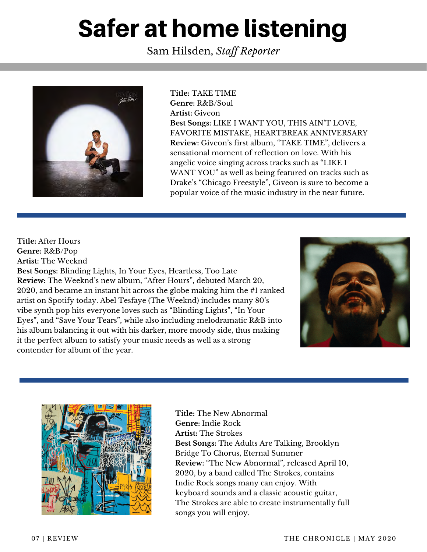# Safer at home listening

Sam Hilsden, *Staff Reporter*



**Title:** TAKE TIME **Genre:** R&B/Soul **Artist:** Giveon **Best Songs:** LIKE I WANT YOU, THIS AIN'T LOVE, FAVORITE MISTAKE, HEARTBREAK ANNIVERSARY **Review:** Giveon's first album, "TAKE TIME", delivers a sensational moment of reflection on love. With his angelic voice singing across tracks such as "LIKE I WANT YOU" as well as being featured on tracks such as Drake's "Chicago Freestyle", Giveon is sure to become a popular voice of the music industry in the near future.

**Title:** After Hours **Genre:** R&B/Pop **Artist:** The Weeknd **Best Songs:** Blinding Lights, In Your Eyes, Heartless, Too Late **Review:** The Weeknd's new album, "After Hours", debuted March 20, 2020, and became an instant hit across the globe making him the #1 ranked artist on Spotify today. Abel Tesfaye (The Weeknd) includes many 80's vibe synth pop hits everyone loves such as "Blinding Lights", "In Your Eyes", and "Save Your Tears", while also including melodramatic R&B into his album balancing it out with his darker, more moody side, thus making it the perfect album to satisfy your music needs as well as a strong contender for album of the year.





InfographicbyNathanKuhta **Title:** The New Abnormal **Genre:** Indie Rock **Artist:** The Strokes **Best Songs:** The Adults Are Talking, Brooklyn Bridge To Chorus, Eternal Summer **Review:** "The New Abnormal", released April 10, 2020, by a band called The Strokes, contains Indie Rock songs many can enjoy. With keyboard sounds and a classic acoustic guitar, The Strokes are able to create instrumentally full songs you will enjoy.